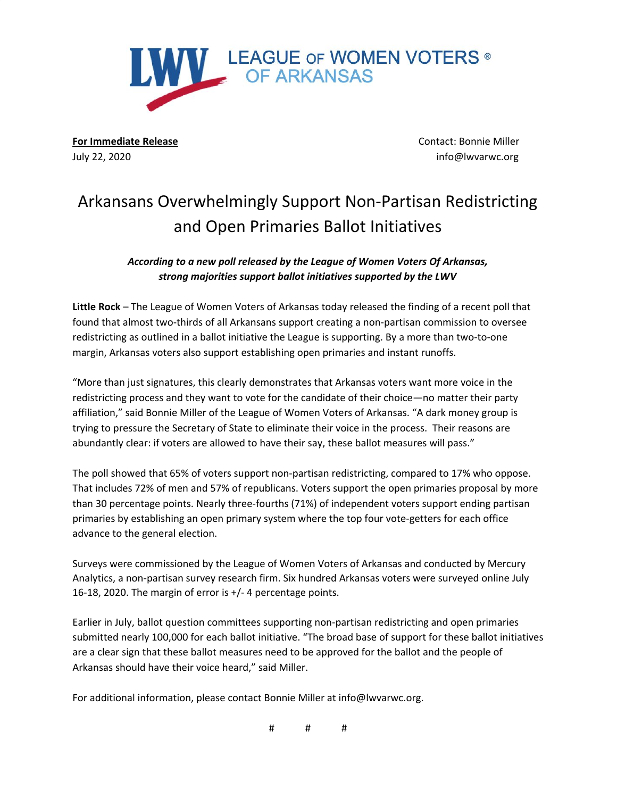

**For Immediate Release** Contact: Bonnie Miller July 22, 2020 info@lwvarwc.org

# Arkansans Overwhelmingly Support Non-Partisan Redistricting and Open Primaries Ballot Initiatives

*According to a new poll released by the League of Women Voters Of Arkansas, strong majorities support ballot initiatives supported by the LWV*

**Little Rock** – The League of Women Voters of Arkansas today released the finding of a recent poll that found that almost two-thirds of all Arkansans support creating a non-partisan commission to oversee redistricting as outlined in a ballot initiative the League is supporting. By a more than two-to-one margin, Arkansas voters also support establishing open primaries and instant runoffs.

"More than just signatures, this clearly demonstrates that Arkansas voters want more voice in the redistricting process and they want to vote for the candidate of their choice—no matter their party affiliation," said Bonnie Miller of the League of Women Voters of Arkansas. "A dark money group is trying to pressure the Secretary of State to eliminate their voice in the process. Their reasons are abundantly clear: if voters are allowed to have their say, these ballot measures will pass."

The poll showed that 65% of voters support non-partisan redistricting, compared to 17% who oppose. That includes 72% of men and 57% of republicans. Voters support the open primaries proposal by more than 30 percentage points. Nearly three-fourths (71%) of independent voters support ending partisan primaries by establishing an open primary system where the top four vote-getters for each office advance to the general election.

Surveys were commissioned by the League of Women Voters of Arkansas and conducted by Mercury Analytics, a non-partisan survey research firm. Six hundred Arkansas voters were surveyed online July 16-18, 2020. The margin of error is +/- 4 percentage points.

Earlier in July, ballot question committees supporting non-partisan redistricting and open primaries submitted nearly 100,000 for each ballot initiative. "The broad base of support for these ballot initiatives are a clear sign that these ballot measures need to be approved for the ballot and the people of Arkansas should have their voice heard," said Miller.

For additional information, please contact Bonnie Miller at info@lwvarwc.org.

# # #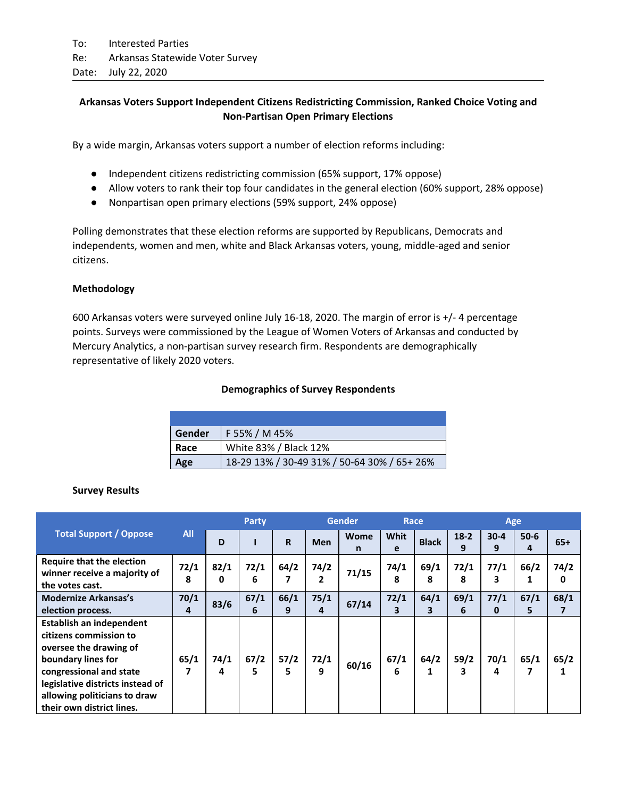## **Arkansas Voters Support Independent Citizens Redistricting Commission, Ranked Choice Voting and Non-Partisan Open Primary Elections**

By a wide margin, Arkansas voters support a number of election reforms including:

- Independent citizens redistricting commission (65% support, 17% oppose)
- Allow voters to rank their top four candidates in the general election (60% support, 28% oppose)
- Nonpartisan open primary elections (59% support, 24% oppose)

Polling demonstrates that these election reforms are supported by Republicans, Democrats and independents, women and men, white and Black Arkansas voters, young, middle-aged and senior citizens.

### **Methodology**

600 Arkansas voters were surveyed online July 16-18, 2020. The margin of error is +/- 4 percentage points. Surveys were commissioned by the League of Women Voters of Arkansas and conducted by Mercury Analytics, a non-partisan survey research firm. Respondents are demographically representative of likely 2020 voters.

### **Demographics of Survey Respondents**

| Gender | F 55% / M 45%                               |
|--------|---------------------------------------------|
| Race   | White 83% / Black 12%                       |
| Age    | 18-29 13% / 30-49 31% / 50-64 30% / 65+ 26% |

#### **Survey Results**

|                                                                                                                                                                                                                                |            | Party     |            |             | <b>Gender</b> |           | Race      |              | Age         |                  |               |           |  |
|--------------------------------------------------------------------------------------------------------------------------------------------------------------------------------------------------------------------------------|------------|-----------|------------|-------------|---------------|-----------|-----------|--------------|-------------|------------------|---------------|-----------|--|
| <b>Total Support / Oppose</b>                                                                                                                                                                                                  | <b>All</b> | D         |            | $\mathbf R$ | Men           | Wome<br>n | Whit<br>e | <b>Black</b> | $18-2$<br>9 | $30 - 4$<br>9    | $50 - 6$<br>4 | $65+$     |  |
| <b>Require that the election</b><br>winner receive a majority of<br>the votes cast.                                                                                                                                            | 72/1<br>8  | 82/1<br>0 | 72/1<br>6  | 64/2<br>7   | 74/2<br>2     | 71/15     | 74/1<br>8 | 69/1<br>8    | 72/1<br>8   | 77/1<br>3        | 66/2<br>1     | 74/2<br>0 |  |
| <b>Modernize Arkansas's</b><br>election process.                                                                                                                                                                               | 70/1<br>4  | 83/6      | 67/1<br>6  | 66/1<br>9   | 75/1<br>4     | 67/14     | 72/1<br>3 | 64/1<br>3    | 69/1<br>6   | 77/1<br>$\bf{0}$ | 67/1<br>5     | 68/1<br>7 |  |
| Establish an independent<br>citizens commission to<br>oversee the drawing of<br>boundary lines for<br>congressional and state<br>legislative districts instead of<br>allowing politicians to draw<br>their own district lines. | 65/1<br>7  | 74/1<br>4 | 67/2<br>5. | 57/2<br>5   | 72/1<br>9     | 60/16     | 67/1<br>6 | 64/2<br>1    | 59/2<br>3   | 70/1<br>4        | 65/1<br>7     | 65/2<br>1 |  |